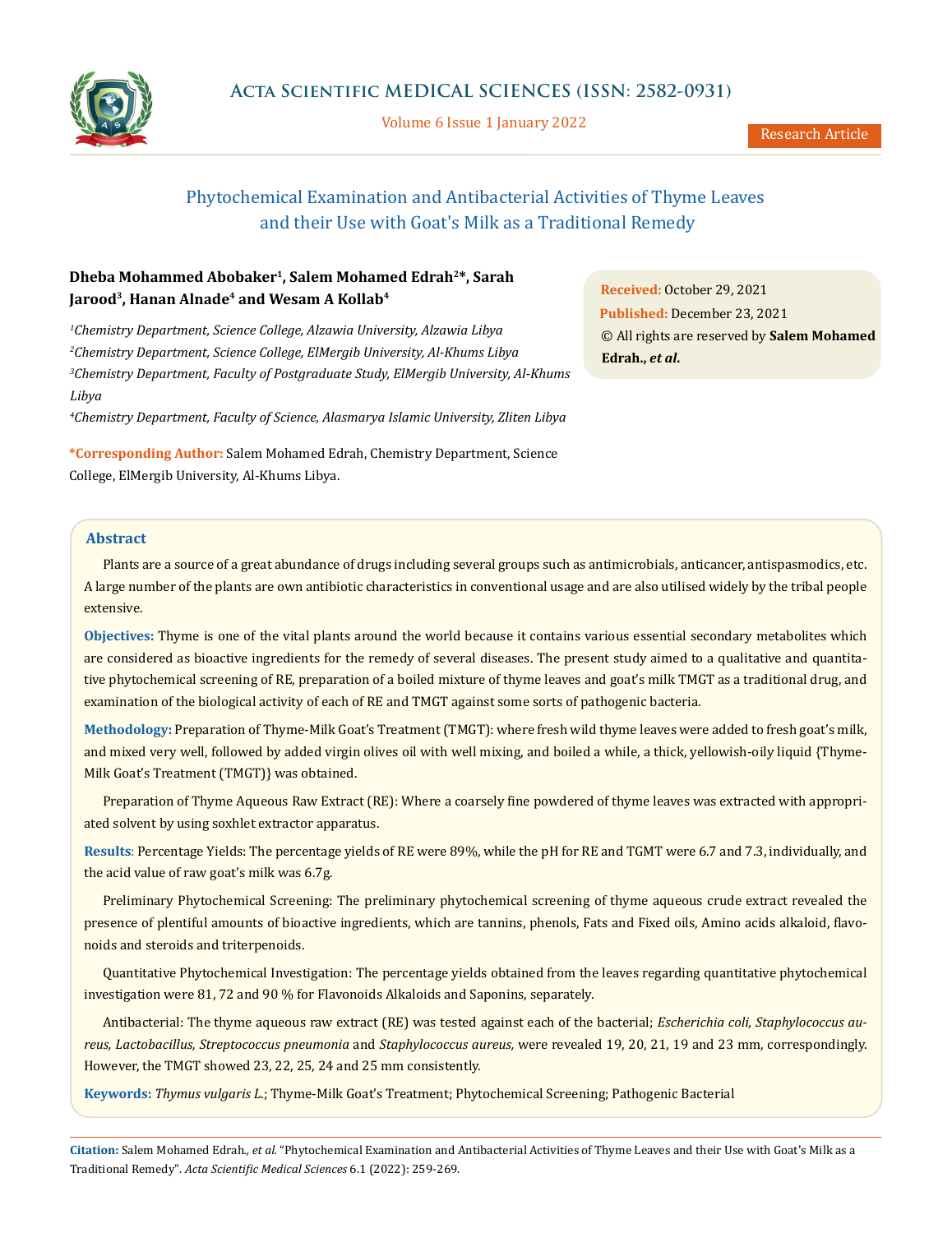

Volume 6 Issue 1 January 2022

# Phytochemical Examination and Antibacterial Activities of Thyme Leaves and their Use with Goat's Milk as a Traditional Remedy

# **Dheba Mohammed Abobaker1, Salem Mohamed Edrah2\*, Sarah** Jarood<sup>3</sup>, Hanan Alnade<sup>4</sup> and Wesam A Kollab<sup>4</sup>

 *Chemistry Department, Science College, Alzawia University, Alzawia Libya Chemistry Department, Science College, ElMergib University, Al-Khums Libya Chemistry Department, Faculty of Postgraduate Study, ElMergib University, Al-Khums Libya*

*4 Chemistry Department, Faculty of Science, Alasmarya Islamic University, Zliten Libya* 

**\*Corresponding Author:** Salem Mohamed Edrah, Chemistry Department, Science College, ElMergib University, Al-Khums Libya.

**Abstract**

Plants are a source of a great abundance of drugs including several groups such as antimicrobials, anticancer, antispasmodics, etc. A large number of the plants are own antibiotic characteristics in conventional usage and are also utilised widely by the tribal people extensive.

**Objectives:** Thyme is one of the vital plants around the world because it contains various essential secondary metabolites which are considered as bioactive ingredients for the remedy of several diseases. The present study aimed to a qualitative and quantitative phytochemical screening of RE, preparation of a boiled mixture of thyme leaves and goat's milk TMGT as a traditional drug, and examination of the biological activity of each of RE and TMGT against some sorts of pathogenic bacteria.

**Methodology:** Preparation of Thyme-Milk Goat's Treatment (TMGT): where fresh wild thyme leaves were added to fresh goat's milk, and mixed very well, followed by added virgin olives oil with well mixing, and boiled a while, a thick, yellowish-oily liquid {Thyme-Milk Goat's Treatment (TMGT)} was obtained.

Preparation of Thyme Aqueous Raw Extract (RE): Where a coarsely fine powdered of thyme leaves was extracted with appropriated solvent by using soxhlet extractor apparatus.

**Results**: Percentage Yields: The percentage yields of RE were 89%, while the pH for RE and TGMT were 6.7 and 7.3, individually, and the acid value of raw goat's milk was 6.7g.

Preliminary Phytochemical Screening: The preliminary phytochemical screening of thyme aqueous crude extract revealed the presence of plentiful amounts of bioactive ingredients, which are tannins, phenols, Fats and Fixed oils, Amino acids alkaloid, flavonoids and steroids and triterpenoids.

Quantitative Phytochemical Investigation: The percentage yields obtained from the leaves regarding quantitative phytochemical investigation were 81, 72 and 90 % for Flavonoids Alkaloids and Saponins, separately.

Antibacterial: The thyme aqueous raw extract (RE) was tested against each of the bacterial; *Escherichia coli, Staphylococcus aureus, Lactobacillus, Streptococcus pneumonia* and *Staphylococcus aureus,* were revealed 19, 20, 21, 19 and 23 mm, correspondingly. However, the TMGT showed 23, 22, 25, 24 and 25 mm consistently.

**Keywords:** *Thymus vulgaris L.*; Thyme-Milk Goat's Treatment; Phytochemical Screening; Pathogenic Bacterial

**Citation:** Salem Mohamed Edrah*., et al.* "Phytochemical Examination and Antibacterial Activities of Thyme Leaves and their Use with Goat's Milk as a Traditional Remedy". *Acta Scientific Medical Sciences* 6.1 (2022): 259-269.

**Received:** October 29, 2021 **Published:** December 23, 2021 © All rights are reserved by **Salem Mohamed Edrah.,** *et al***.**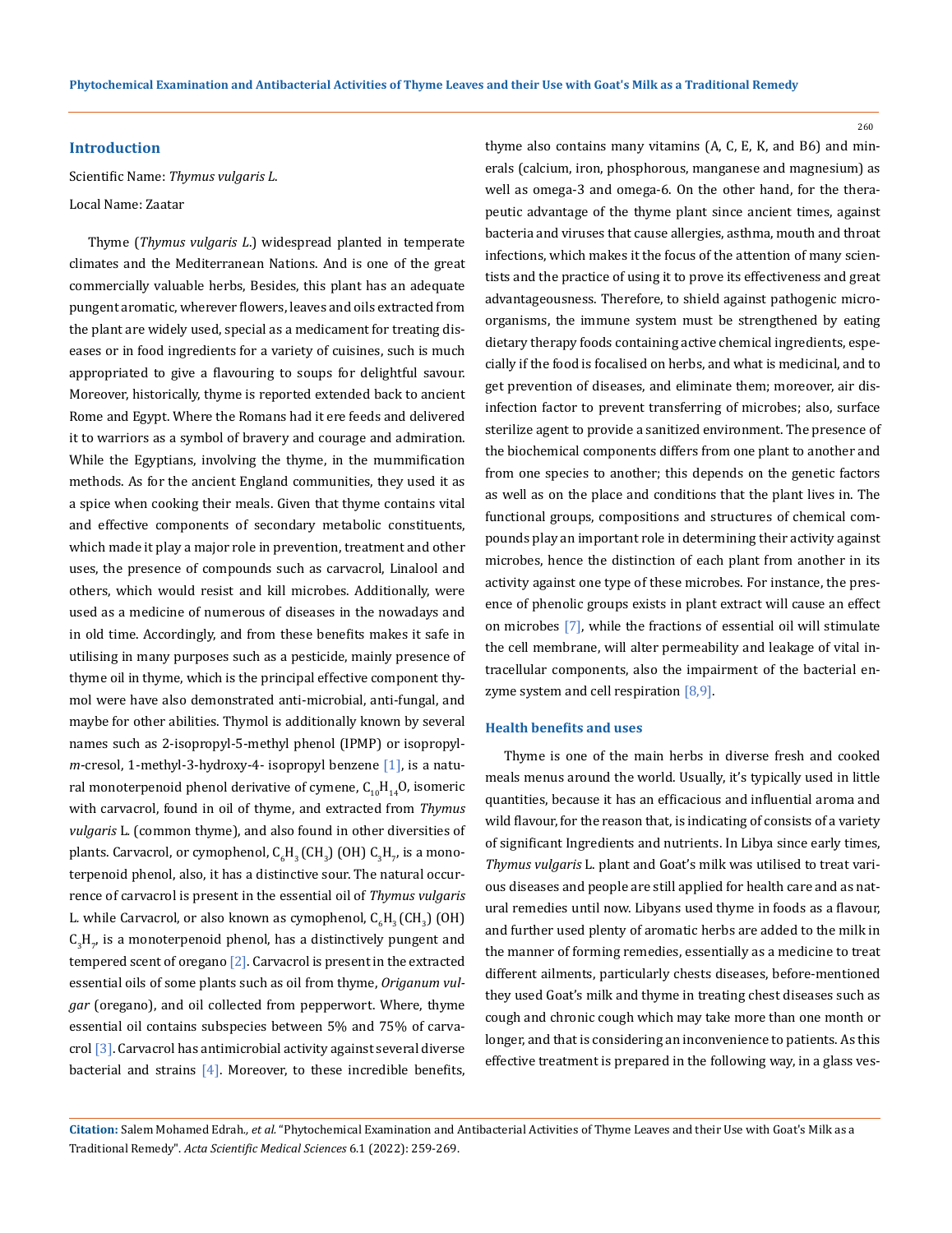260

## **Introduction**

Scientific Name: *Thymus vulgaris L*.

#### Local Name: Zaatar

Thyme (*Thymus vulgaris L*.) widespread planted in temperate climates and the Mediterranean Nations. And is one of the great commercially valuable herbs, Besides, this plant has an adequate pungent aromatic, wherever flowers, leaves and oils extracted from the plant are widely used, special as a medicament for treating diseases or in food ingredients for a variety of cuisines, such is much appropriated to give a flavouring to soups for delightful savour. Moreover, historically, thyme is reported extended back to ancient Rome and Egypt. Where the Romans had it ere feeds and delivered it to warriors as a symbol of bravery and courage and admiration. While the Egyptians, involving the thyme, in the mummification methods. As for the ancient England communities, they used it as a spice when cooking their meals. Given that thyme contains vital and effective components of secondary metabolic constituents, which made it play a major role in prevention, treatment and other uses, the presence of compounds such as carvacrol, Linalool and others, which would resist and kill microbes. Additionally, were used as a medicine of numerous of diseases in the nowadays and in old time. Accordingly, and from these benefits makes it safe in utilising in many purposes such as a pesticide, mainly presence of thyme oil in thyme, which is the principal effective component thymol were have also demonstrated anti-microbial, anti-fungal, and maybe for other abilities. Thymol is additionally known by several names such as 2-isopropyl-5-methyl phenol (IPMP) or isopropyl*m*-cresol, 1-methyl-3-hydroxy-4- isopropyl benzene [1], is a natural monoterpenoid phenol derivative of cymene,  $C_{10}H_{14}O$ , isomeric with carvacrol, found in oil of thyme, and extracted from *Thymus vulgaris* L*.* (common thyme), and also found in other diversities of plants. Carvacrol, or cymophenol,  ${\sf C_6H_3}$  (CH<sub>3</sub>) (OH)  ${\sf C_3H_{7}}$ , is a monoterpenoid phenol, also, it has a distinctive sour. The natural occurrence of carvacrol is present in the essential oil of *Thymus vulgaris*  L. while Carvacrol, or also known as cymophenol,  $\mathsf{C}_{\mathrm{6}}\mathsf{H}_{\mathrm{3}}\left(\mathsf{CH}_{\mathrm{3}}\right)$  (OH)  $C_3H_\gamma$  is a monoterpenoid phenol, has a distinctively pungent and tempered scent of oregano  $[2]$ . Carvacrol is present in the extracted essential oils of some plants such as oil from thyme, *Origanum vulgar* (oregano), and oil collected from pepperwort. Where, thyme essential oil contains subspecies between 5% and 75% of carvacrol [3]. Carvacrol has antimicrobial activity against several diverse bacterial and strains  $[4]$ . Moreover, to these incredible benefits,

thyme also contains many vitamins (A, C, E, K, and B6) and minerals (calcium, iron, phosphorous, manganese and magnesium) as well as omega-3 and omega-6. On the other hand, for the therapeutic advantage of the thyme plant since ancient times, against bacteria and viruses that cause allergies, asthma, mouth and throat infections, which makes it the focus of the attention of many scientists and the practice of using it to prove its effectiveness and great advantageousness. Therefore, to shield against pathogenic microorganisms, the immune system must be strengthened by eating dietary therapy foods containing active chemical ingredients, especially if the food is focalised on herbs, and what is medicinal, and to get prevention of diseases, and eliminate them; moreover, air disinfection factor to prevent transferring of microbes; also, surface sterilize agent to provide a sanitized environment. The presence of the biochemical components differs from one plant to another and from one species to another; this depends on the genetic factors as well as on the place and conditions that the plant lives in. The functional groups, compositions and structures of chemical compounds play an important role in determining their activity against microbes, hence the distinction of each plant from another in its activity against one type of these microbes. For instance, the presence of phenolic groups exists in plant extract will cause an effect on microbes [7], while the fractions of essential oil will stimulate the cell membrane, will alter permeability and leakage of vital intracellular components, also the impairment of the bacterial enzyme system and cell respiration [8,9].

## **Health benefits and uses**

Thyme is one of the main herbs in diverse fresh and cooked meals menus around the world. Usually, it's typically used in little quantities, because it has an efficacious and influential aroma and wild flavour, for the reason that, is indicating of consists of a variety of significant Ingredients and nutrients. In Libya since early times, *Thymus vulgaris* L. plant and Goat's milk was utilised to treat various diseases and people are still applied for health care and as natural remedies until now. Libyans used thyme in foods as a flavour, and further used plenty of aromatic herbs are added to the milk in the manner of forming remedies, essentially as a medicine to treat different ailments, particularly chests diseases, before-mentioned they used Goat's milk and thyme in treating chest diseases such as cough and chronic cough which may take more than one month or longer, and that is considering an inconvenience to patients. As this effective treatment is prepared in the following way, in a glass ves-

**Citation:** Salem Mohamed Edrah*., et al.* "Phytochemical Examination and Antibacterial Activities of Thyme Leaves and their Use with Goat's Milk as a Traditional Remedy". *Acta Scientific Medical Sciences* 6.1 (2022): 259-269.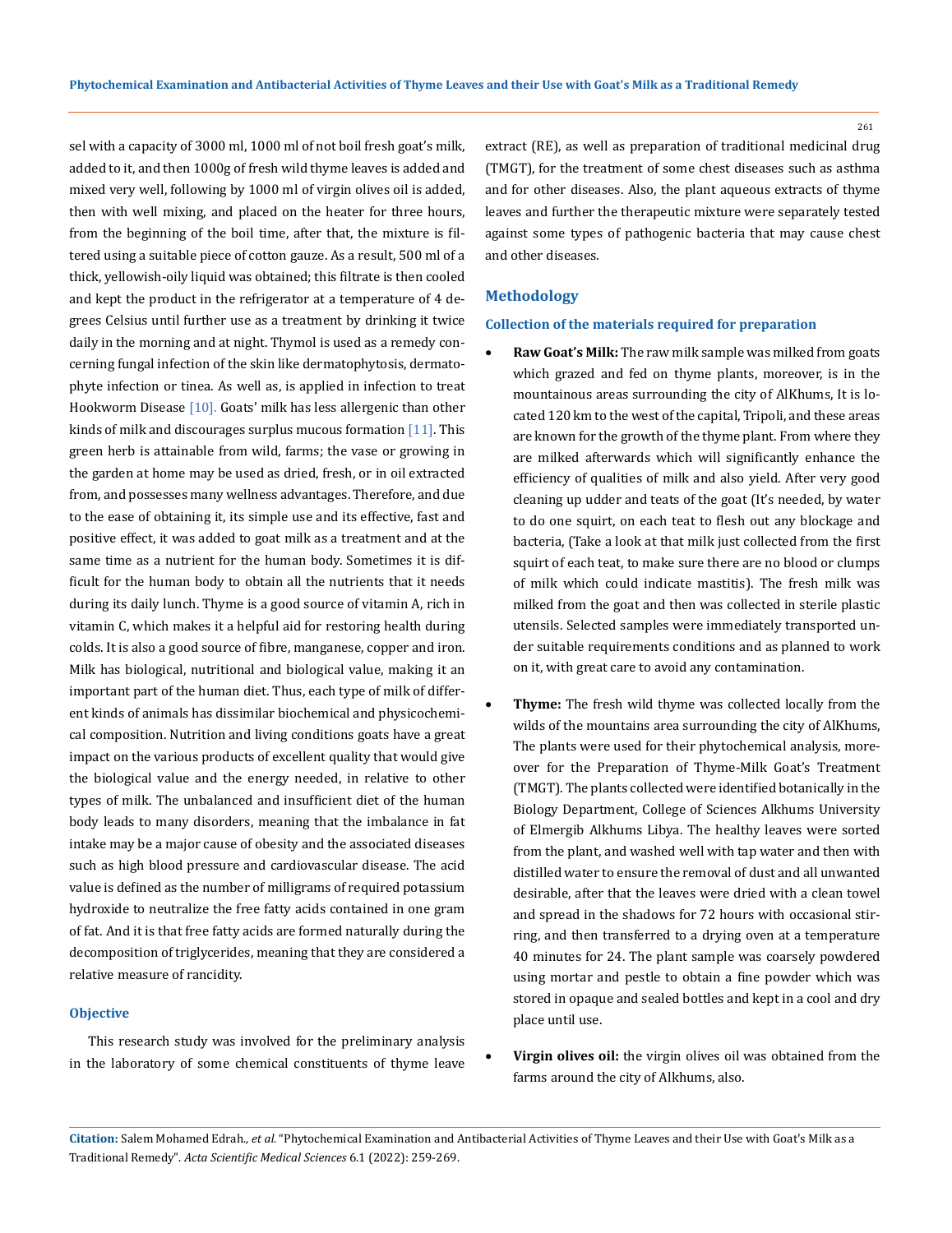sel with a capacity of 3000 ml, 1000 ml of not boil fresh goat's milk, added to it, and then 1000g of fresh wild thyme leaves is added and mixed very well, following by 1000 ml of virgin olives oil is added, then with well mixing, and placed on the heater for three hours, from the beginning of the boil time, after that, the mixture is filtered using a suitable piece of cotton gauze. As a result, 500 ml of a thick, yellowish-oily liquid was obtained; this filtrate is then cooled and kept the product in the refrigerator at a temperature of 4 degrees Celsius until further use as a treatment by drinking it twice daily in the morning and at night. Thymol is used as a remedy concerning fungal infection of the skin like dermatophytosis, dermatophyte infection or tinea. As well as, is applied in infection to treat Hookworm Disease [10]. Goats' milk has less allergenic than other kinds of milk and discourages surplus mucous formation [11]. This green herb is attainable from wild, farms; the vase or growing in the garden at home may be used as dried, fresh, or in oil extracted from, and possesses many wellness advantages. Therefore, and due to the ease of obtaining it, its simple use and its effective, fast and positive effect, it was added to goat milk as a treatment and at the same time as a nutrient for the human body. Sometimes it is difficult for the human body to obtain all the nutrients that it needs during its daily lunch. Thyme is a good source of vitamin A, rich in vitamin C, which makes it a helpful aid for restoring health during colds. It is also a good source of fibre, manganese, copper and iron. Milk has biological, nutritional and biological value, making it an important part of the human diet. Thus, each type of milk of different kinds of animals has dissimilar biochemical and physicochemical composition. Nutrition and living conditions goats have a great impact on the various products of excellent quality that would give the biological value and the energy needed, in relative to other types of milk. The unbalanced and insufficient diet of the human body leads to many disorders, meaning that the imbalance in fat intake may be a major cause of obesity and the associated diseases such as high blood pressure and cardiovascular disease. The acid value is defined as the number of milligrams of required potassium hydroxide to neutralize the free fatty acids contained in one gram of fat. And it is that free fatty acids are formed naturally during the decomposition of triglycerides, meaning that they are considered a relative measure of rancidity.

#### **Objective**

This research study was involved for the preliminary analysis in the laboratory of some chemical constituents of thyme leave extract (RE), as well as preparation of traditional medicinal drug (TMGT), for the treatment of some chest diseases such as asthma and for other diseases. Also, the plant aqueous extracts of thyme leaves and further the therapeutic mixture were separately tested against some types of pathogenic bacteria that may cause chest and other diseases.

## **Methodology**

## **Collection of the materials required for preparation**

- Raw Goat's Milk: The raw milk sample was milked from goats which grazed and fed on thyme plants, moreover, is in the mountainous areas surrounding the city of AlKhums, It is located 120 km to the west of the capital, Tripoli, and these areas are known for the growth of the thyme plant. From where they are milked afterwards which will significantly enhance the efficiency of qualities of milk and also yield. After very good cleaning up udder and teats of the goat (It's needed, by water to do one squirt, on each teat to flesh out any blockage and bacteria, (Take a look at that milk just collected from the first squirt of each teat, to make sure there are no blood or clumps of milk which could indicate mastitis). The fresh milk was milked from the goat and then was collected in sterile plastic utensils. Selected samples were immediately transported under suitable requirements conditions and as planned to work on it, with great care to avoid any contamination.
- **Thyme:** The fresh wild thyme was collected locally from the wilds of the mountains area surrounding the city of AlKhums, The plants were used for their phytochemical analysis, moreover for the Preparation of Thyme-Milk Goat's Treatment (TMGT). The plants collected were identified botanically in the Biology Department, College of Sciences Alkhums University of Elmergib Alkhums Libya. The healthy leaves were sorted from the plant, and washed well with tap water and then with distilled water to ensure the removal of dust and all unwanted desirable, after that the leaves were dried with a clean towel and spread in the shadows for 72 hours with occasional stirring, and then transferred to a drying oven at a temperature 40 minutes for 24. The plant sample was coarsely powdered using mortar and pestle to obtain a fine powder which was stored in opaque and sealed bottles and kept in a cool and dry place until use.
- Virgin olives oil: the virgin olives oil was obtained from the farms around the city of Alkhums, also.

**Citation:** Salem Mohamed Edrah*., et al.* "Phytochemical Examination and Antibacterial Activities of Thyme Leaves and their Use with Goat's Milk as a Traditional Remedy". *Acta Scientific Medical Sciences* 6.1 (2022): 259-269.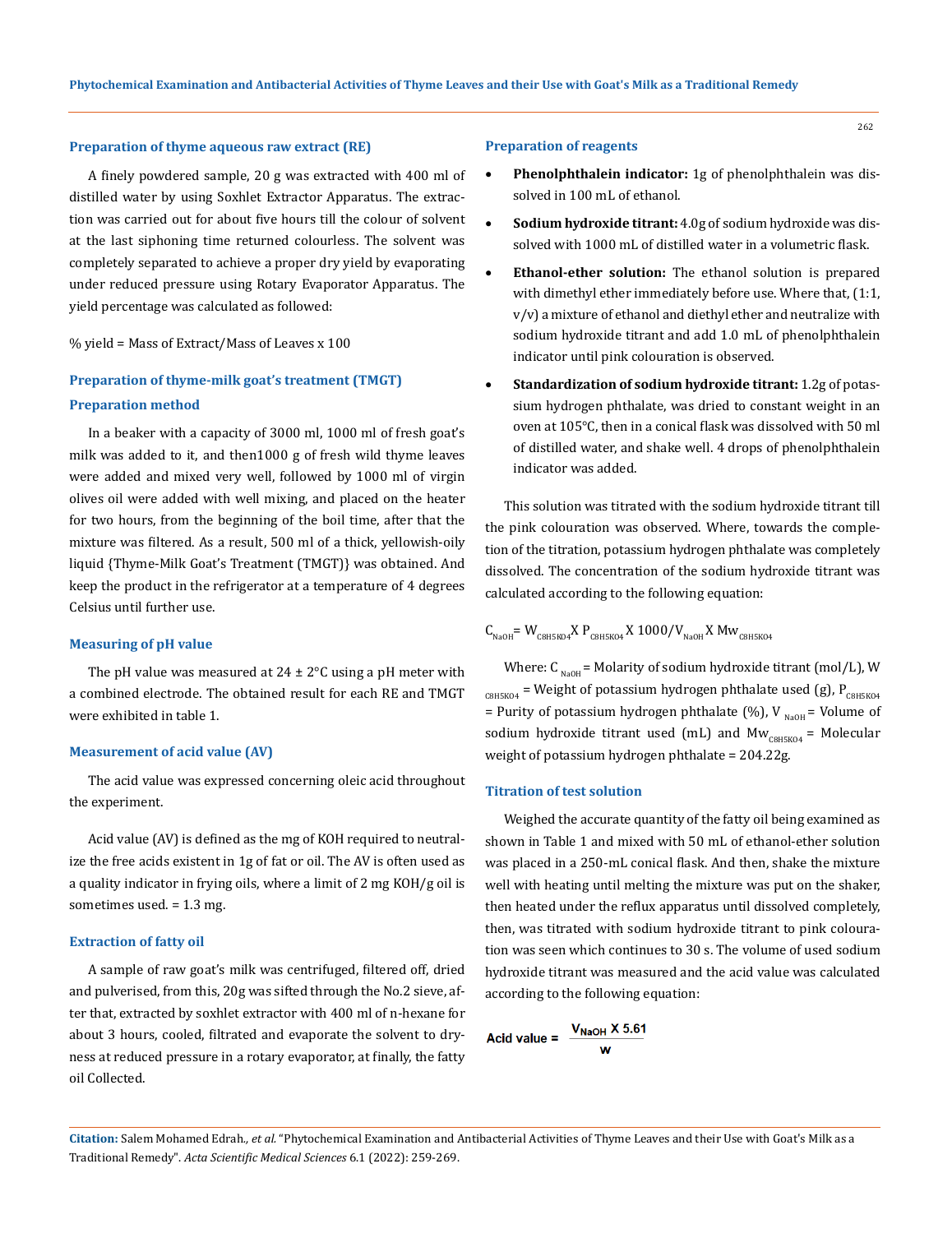#### **Preparation of thyme aqueous raw extract (RE)**

A finely powdered sample, 20 g was extracted with 400 ml of distilled water by using Soxhlet Extractor Apparatus. The extraction was carried out for about five hours till the colour of solvent at the last siphoning time returned colourless. The solvent was completely separated to achieve a proper dry yield by evaporating under reduced pressure using Rotary Evaporator Apparatus. The yield percentage was calculated as followed:

#### % yield = Mass of Extract/Mass of Leaves x 100

# **Preparation of thyme-milk goat's treatment (TMGT) Preparation method**

In a beaker with a capacity of 3000 ml, 1000 ml of fresh goat's milk was added to it, and then1000 g of fresh wild thyme leaves were added and mixed very well, followed by 1000 ml of virgin olives oil were added with well mixing, and placed on the heater for two hours, from the beginning of the boil time, after that the mixture was filtered. As a result, 500 ml of a thick, yellowish-oily liquid {Thyme-Milk Goat's Treatment (TMGT)} was obtained. And keep the product in the refrigerator at a temperature of 4 degrees Celsius until further use.

#### **Measuring of pH value**

The pH value was measured at  $24 \pm 2^{\circ}$ C using a pH meter with a combined electrode. The obtained result for each RE and TMGT were exhibited in table 1.

## **Measurement of acid value (AV)**

The acid value was expressed concerning oleic acid throughout the experiment.

Acid value (AV) is defined as the mg of KOH required to neutralize the free acids existent in 1g of fat or oil. The AV is often used as a quality indicator in frying oils, where a limit of 2 mg KOH/g oil is sometimes used. = 1.3 mg.

#### **Extraction of fatty oil**

A sample of raw goat's milk was centrifuged, filtered off, dried and pulverised, from this, 20g was sifted through the No.2 sieve, after that, extracted by soxhlet extractor with 400 ml of n-hexane for about 3 hours, cooled, filtrated and evaporate the solvent to dryness at reduced pressure in a rotary evaporator, at finally, the fatty oil Collected.

#### **Preparation of reagents**

- **Phenolphthalein indicator:** 1g of phenolphthalein was dissolved in 100 mL of ethanol.
- Sodium hydroxide titrant: 4.0g of sodium hydroxide was dissolved with 1000 mL of distilled water in a volumetric flask.
- **Ethanol-ether solution:** The ethanol solution is prepared with dimethyl ether immediately before use. Where that, (1:1, v/v) a mixture of ethanol and diethyl ether and neutralize with sodium hydroxide titrant and add 1.0 mL of phenolphthalein indicator until pink colouration is observed.
- **Standardization of sodium hydroxide titrant:** 1.2g of potassium hydrogen phthalate, was dried to constant weight in an oven at 105℃, then in a conical flask was dissolved with 50 ml of distilled water, and shake well. 4 drops of phenolphthalein indicator was added.

This solution was titrated with the sodium hydroxide titrant till the pink colouration was observed. Where, towards the completion of the titration, potassium hydrogen phthalate was completely dissolved. The concentration of the sodium hydroxide titrant was calculated according to the following equation:

$$
\text{C}_{\text{NaOH}} = \text{W}_{\text{CBHSKO4}} \text{X P}_{\text{CBHSKO4}} \text{X 1000/V}_{\text{NaOH}} \text{X MW}_{\text{CBHSKO4}}
$$

Where:  $C_{\text{NaOH}}$  = Molarity of sodium hydroxide titrant (mol/L), W  $_{\text{CBHSKO4}}$  = Weight of potassium hydrogen phthalate used (g), P<sub>C8H5KO4</sub> = Purity of potassium hydrogen phthalate (%), V  $_{\text{NaOH}}$  = Volume of sodium hydroxide titrant used (mL) and  $Mw_{CRH5K04}$  = Molecular weight of potassium hydrogen phthalate = 204.22g.

#### **Titration of test solution**

Weighed the accurate quantity of the fatty oil being examined as shown in Table 1 and mixed with 50 mL of ethanol-ether solution was placed in a 250-mL conical flask. And then, shake the mixture well with heating until melting the mixture was put on the shaker, then heated under the reflux apparatus until dissolved completely, then, was titrated with sodium hydroxide titrant to pink colouration was seen which continues to 30 s. The volume of used sodium hydroxide titrant was measured and the acid value was calculated according to the following equation:

$$
Acid value = \frac{V_{NaOH} \times 5.61}{w}
$$

**Citation:** Salem Mohamed Edrah*., et al.* "Phytochemical Examination and Antibacterial Activities of Thyme Leaves and their Use with Goat's Milk as a Traditional Remedy". *Acta Scientific Medical Sciences* 6.1 (2022): 259-269.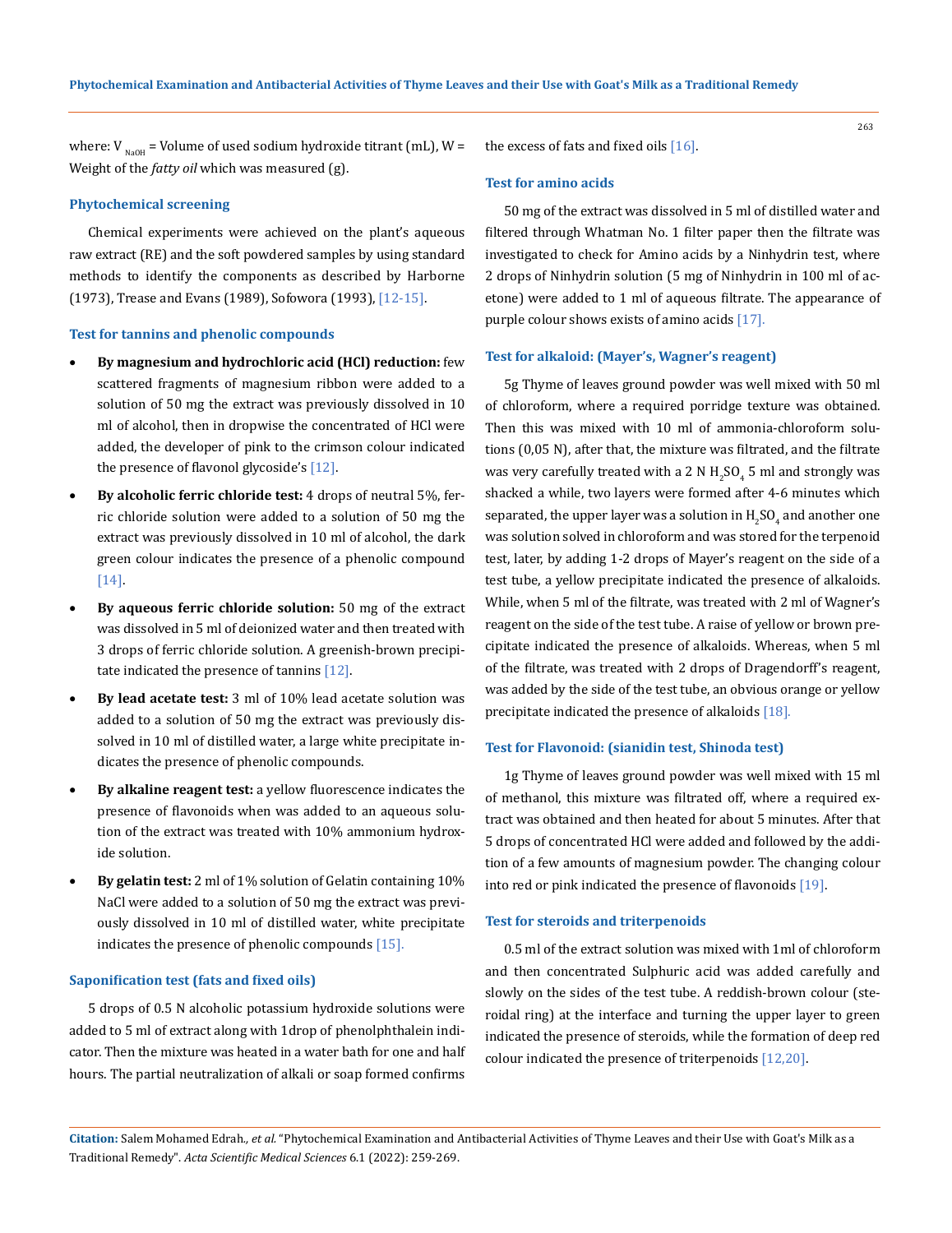where:  $V_{\text{NaOH}}$  = Volume of used sodium hydroxide titrant (mL), W = Weight of the *fatty oil* which was measured (g).

## **Phytochemical screening**

Chemical experiments were achieved on the plant's aqueous raw extract (RE) and the soft powdered samples by using standard methods to identify the components as described by Harborne (1973), Trease and Evans (1989), Sofowora (1993), [12-15].

#### **Test for tannins and phenolic compounds**

- **By magnesium and hydrochloric acid (HCl) reduction:** few scattered fragments of magnesium ribbon were added to a solution of 50 mg the extract was previously dissolved in 10 ml of alcohol, then in dropwise the concentrated of HCl were added, the developer of pink to the crimson colour indicated the presence of flavonol glycoside's [12].
- • **By alcoholic ferric chloride test:** 4 drops of neutral 5%, ferric chloride solution were added to a solution of 50 mg the extract was previously dissolved in 10 ml of alcohol, the dark green colour indicates the presence of a phenolic compound [14].
- By aqueous ferric chloride solution: 50 mg of the extract was dissolved in 5 ml of deionized water and then treated with 3 drops of ferric chloride solution. A greenish-brown precipitate indicated the presence of tannins [12].
- • **By lead acetate test:** 3 ml of 10% lead acetate solution was added to a solution of 50 mg the extract was previously dissolved in 10 ml of distilled water, a large white precipitate indicates the presence of phenolic compounds.
- **By alkaline reagent test:** a yellow fluorescence indicates the presence of flavonoids when was added to an aqueous solution of the extract was treated with 10% ammonium hydroxide solution.
- • **By gelatin test:** 2 ml of 1% solution of Gelatin containing 10% NaCl were added to a solution of 50 mg the extract was previously dissolved in 10 ml of distilled water, white precipitate indicates the presence of phenolic compounds [15].

#### **Saponification test (fats and fixed oils)**

5 drops of 0.5 N alcoholic potassium hydroxide solutions were added to 5 ml of extract along with 1drop of phenolphthalein indicator. Then the mixture was heated in a water bath for one and half hours. The partial neutralization of alkali or soap formed confirms

the excess of fats and fixed oils  $[16]$ .

## **Test for amino acids**

50 mg of the extract was dissolved in 5 ml of distilled water and filtered through Whatman No. 1 filter paper then the filtrate was investigated to check for Amino acids by a Ninhydrin test, where 2 drops of Ninhydrin solution (5 mg of Ninhydrin in 100 ml of acetone) were added to 1 ml of aqueous filtrate. The appearance of purple colour shows exists of amino acids [17].

#### **Test for alkaloid: (Mayer's, Wagner's reagent)**

5g Thyme of leaves ground powder was well mixed with 50 ml of chloroform, where a required porridge texture was obtained. Then this was mixed with 10 ml of ammonia-chloroform solutions (0,05 N), after that, the mixture was filtrated, and the filtrate was very carefully treated with a 2 N  $\rm H_2SO_4$  5 ml and strongly was shacked a while, two layers were formed after 4-6 minutes which separated, the upper layer was a solution in  $\rm{H_2SO_4}$  and another one  $^+$ was solution solved in chloroform and was stored for the terpenoid test, later, by adding 1-2 drops of Mayer's reagent on the side of a test tube, a yellow precipitate indicated the presence of alkaloids. While, when 5 ml of the filtrate, was treated with 2 ml of Wagner's reagent on the side of the test tube. A raise of yellow or brown precipitate indicated the presence of alkaloids. Whereas, when 5 ml of the filtrate, was treated with 2 drops of Dragendorff's reagent, was added by the side of the test tube, an obvious orange or yellow precipitate indicated the presence of alkaloids [18].

## **Test for Flavonoid: (sianidin test, Shinoda test)**

1g Thyme of leaves ground powder was well mixed with 15 ml of methanol, this mixture was filtrated off, where a required extract was obtained and then heated for about 5 minutes. After that 5 drops of concentrated HCl were added and followed by the addition of a few amounts of magnesium powder. The changing colour into red or pink indicated the presence of flavonoids [19].

#### **Test for steroids and triterpenoids**

0.5 ml of the extract solution was mixed with 1ml of chloroform and then concentrated Sulphuric acid was added carefully and slowly on the sides of the test tube. A reddish-brown colour (steroidal ring) at the interface and turning the upper layer to green indicated the presence of steroids, while the formation of deep red colour indicated the presence of triterpenoids [12,20].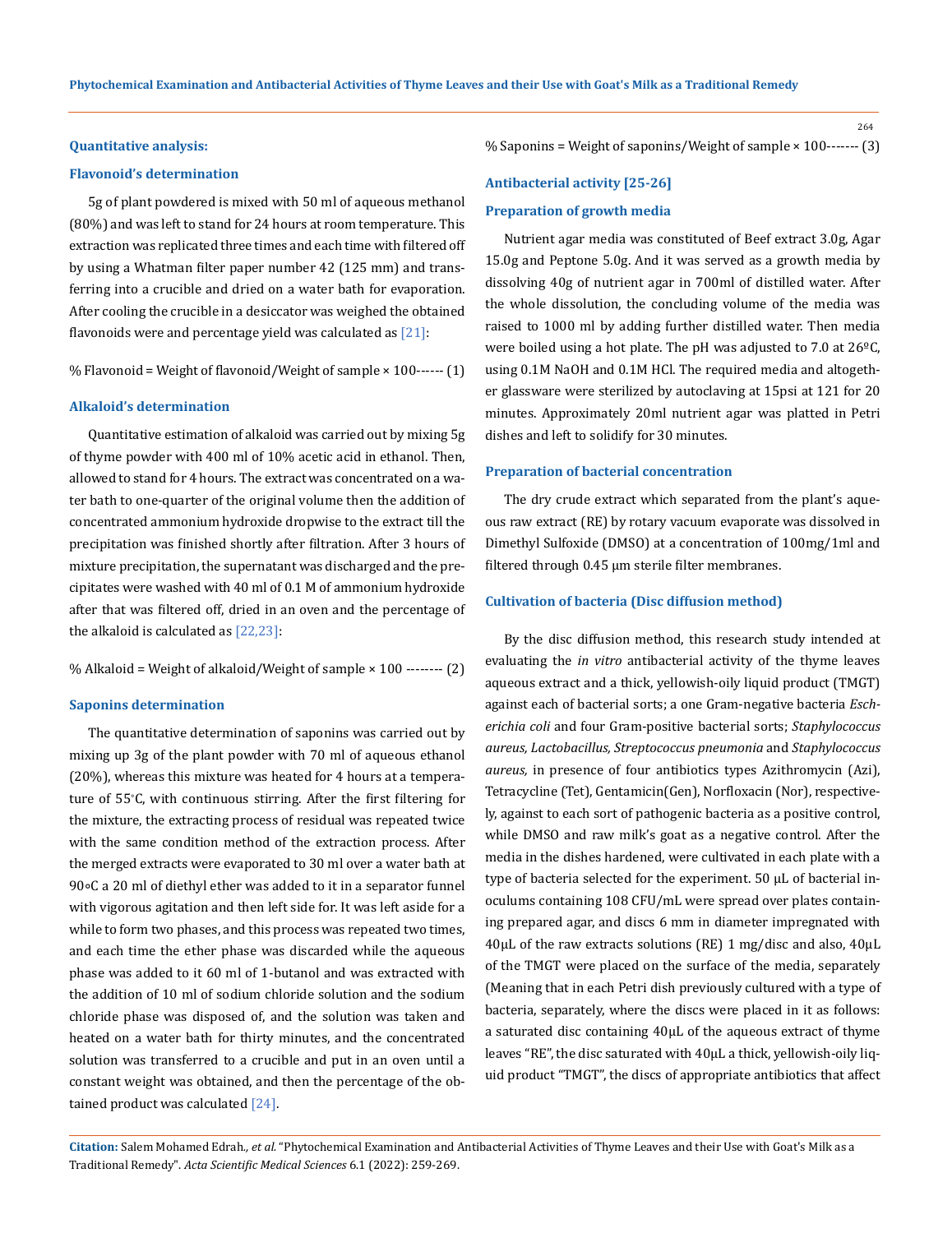#### **Quantitative analysis:**

#### **Flavonoid's determination**

5g of plant powdered is mixed with 50 ml of aqueous methanol (80%) and was left to stand for 24 hours at room temperature. This extraction was replicated three times and each time with filtered off by using a Whatman filter paper number 42 (125 mm) and transferring into a crucible and dried on a water bath for evaporation. After cooling the crucible in a desiccator was weighed the obtained flavonoids were and percentage yield was calculated as  $[21]$ :

% Flavonoid = Weight of flavonoid/Weight of sample × 100------ (1)

## **Alkaloid's determination**

Quantitative estimation of alkaloid was carried out by mixing 5g of thyme powder with 400 ml of 10% acetic acid in ethanol. Then, allowed to stand for 4 hours. The extract was concentrated on a water bath to one-quarter of the original volume then the addition of concentrated ammonium hydroxide dropwise to the extract till the precipitation was finished shortly after filtration. After 3 hours of mixture precipitation, the supernatant was discharged and the precipitates were washed with 40 ml of 0.1 M of ammonium hydroxide after that was filtered off, dried in an oven and the percentage of the alkaloid is calculated as  $[22,23]$ :

% Alkaloid = Weight of alkaloid/Weight of sample × 100 -------- (2)

#### **Saponins determination**

The quantitative determination of saponins was carried out by mixing up 3g of the plant powder with 70 ml of aqueous ethanol (20%), whereas this mixture was heated for 4 hours at a temperature of 55<sup>∘</sup> C, with continuous stirring. After the first filtering for the mixture, the extracting process of residual was repeated twice with the same condition method of the extraction process. After the merged extracts were evaporated to 30 ml over a water bath at 90∘C a 20 ml of diethyl ether was added to it in a separator funnel with vigorous agitation and then left side for. It was left aside for a while to form two phases, and this process was repeated two times, and each time the ether phase was discarded while the aqueous phase was added to it 60 ml of 1-butanol and was extracted with the addition of 10 ml of sodium chloride solution and the sodium chloride phase was disposed of, and the solution was taken and heated on a water bath for thirty minutes, and the concentrated solution was transferred to a crucible and put in an oven until a constant weight was obtained, and then the percentage of the obtained product was calculated [24].

% Saponins = Weight of saponins/Weight of sample × 100------- (3)

#### **Antibacterial activity [25-26]**

#### **Preparation of growth media**

Nutrient agar media was constituted of Beef extract 3.0g, Agar 15.0g and Peptone 5.0g. And it was served as a growth media by dissolving 40g of nutrient agar in 700ml of distilled water. After the whole dissolution, the concluding volume of the media was raised to 1000 ml by adding further distilled water. Then media were boiled using a hot plate. The pH was adjusted to 7.0 at 26ºC, using 0.1M NaOH and 0.1M HCl. The required media and altogether glassware were sterilized by autoclaving at 15psi at 121 for 20 minutes. Approximately 20ml nutrient agar was platted in Petri dishes and left to solidify for 30 minutes.

#### **Preparation of bacterial concentration**

The dry crude extract which separated from the plant's aqueous raw extract (RE) by rotary vacuum evaporate was dissolved in Dimethyl Sulfoxide (DMSO) at a concentration of 100mg/1ml and filtered through 0.45 µm sterile filter membranes.

## **Cultivation of bacteria (Disc diffusion method)**

By the disc diffusion method, this research study intended at evaluating the *in vitro* antibacterial activity of the thyme leaves aqueous extract and a thick, yellowish-oily liquid product (TMGT) against each of bacterial sorts; a one Gram-negative bacteria *Escherichia coli* and four Gram-positive bacterial sorts; *Staphylococcus aureus, Lactobacillus, Streptococcus pneumonia* and *Staphylococcus aureus,* in presence of four antibiotics types Azithromycin (Azi), Tetracycline (Tet), Gentamicin(Gen), Norfloxacin (Nor), respectively, against to each sort of pathogenic bacteria as a positive control, while DMSO and raw milk's goat as a negative control. After the media in the dishes hardened, were cultivated in each plate with a type of bacteria selected for the experiment. 50 µL of bacterial inoculums containing 108 CFU/mL were spread over plates containing prepared agar, and discs 6 mm in diameter impregnated with  $40\mu$ L of the raw extracts solutions (RE) 1 mg/disc and also,  $40\mu$ L of the TMGT were placed on the surface of the media, separately (Meaning that in each Petri dish previously cultured with a type of bacteria, separately, where the discs were placed in it as follows: a saturated disc containing 40µL of the aqueous extract of thyme leaves "RE", the disc saturated with 40µL a thick, yellowish-oily liquid product "TMGT", the discs of appropriate antibiotics that affect

**Citation:** Salem Mohamed Edrah*., et al.* "Phytochemical Examination and Antibacterial Activities of Thyme Leaves and their Use with Goat's Milk as a Traditional Remedy". *Acta Scientific Medical Sciences* 6.1 (2022): 259-269.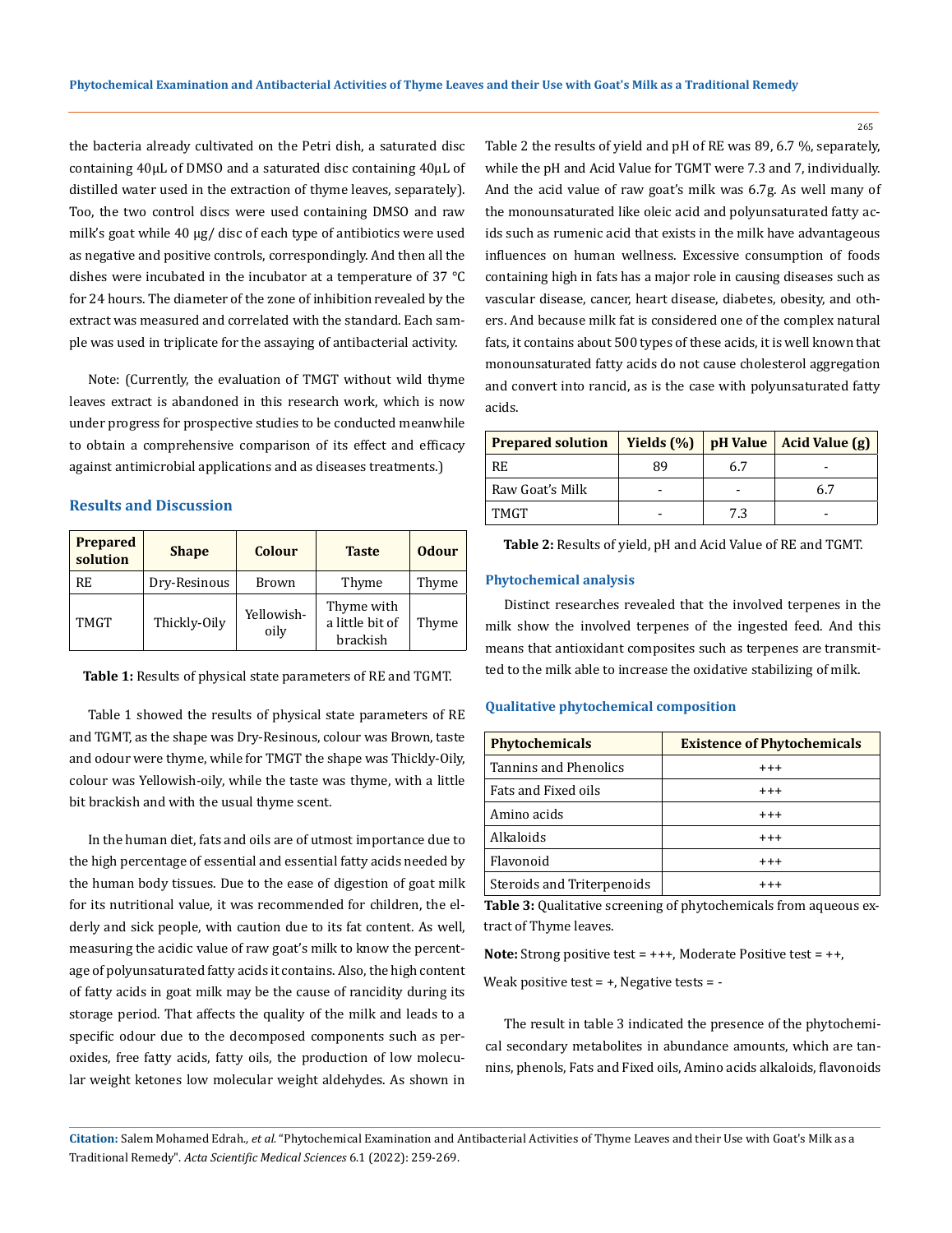the bacteria already cultivated on the Petri dish, a saturated disc containing 40µL of DMSO and a saturated disc containing 40µL of distilled water used in the extraction of thyme leaves, separately). Too, the two control discs were used containing DMSO and raw milk's goat while 40 µg/ disc of each type of antibiotics were used as negative and positive controls, correspondingly. And then all the dishes were incubated in the incubator at a temperature of 37 °C for 24 hours. The diameter of the zone of inhibition revealed by the extract was measured and correlated with the standard. Each sample was used in triplicate for the assaying of antibacterial activity.

Note: (Currently, the evaluation of TMGT without wild thyme leaves extract is abandoned in this research work, which is now under progress for prospective studies to be conducted meanwhile to obtain a comprehensive comparison of its effect and efficacy against antimicrobial applications and as diseases treatments.)

## **Results and Discussion**

| <b>Prepared</b><br>solution | <b>Shape</b> | <b>Colour</b>      | <b>Odour</b><br><b>Taste</b>              |       |
|-----------------------------|--------------|--------------------|-------------------------------------------|-------|
| RE                          | Dry-Resinous | <b>Brown</b>       | Thyme                                     | Thyme |
| TMGT                        | Thickly-Oily | Yellowish-<br>oily | Thyme with<br>a little bit of<br>brackish | Thyme |

**Table 1:** Results of physical state parameters of RE and TGMT.

Table 1 showed the results of physical state parameters of RE and TGMT, as the shape was Dry-Resinous, colour was Brown, taste and odour were thyme, while for TMGT the shape was Thickly-Oily, colour was Yellowish-oily, while the taste was thyme, with a little bit brackish and with the usual thyme scent.

In the human diet, fats and oils are of utmost importance due to the high percentage of essential and essential fatty acids needed by the human body tissues. Due to the ease of digestion of goat milk for its nutritional value, it was recommended for children, the elderly and sick people, with caution due to its fat content. As well, measuring the acidic value of raw goat's milk to know the percentage of polyunsaturated fatty acids it contains. Also, the high content of fatty acids in goat milk may be the cause of rancidity during its storage period. That affects the quality of the milk and leads to a specific odour due to the decomposed components such as peroxides, free fatty acids, fatty oils, the production of low molecular weight ketones low molecular weight aldehydes. As shown in

Table 2 the results of yield and pH of RE was 89, 6.7 %, separately, while the pH and Acid Value for TGMT were 7.3 and 7, individually. And the acid value of raw goat's milk was 6.7g. As well many of the monounsaturated like oleic acid and polyunsaturated fatty acids such as rumenic acid that exists in the milk have advantageous influences on human wellness. Excessive consumption of foods containing high in fats has a major role in causing diseases such as vascular disease, cancer, heart disease, diabetes, obesity, and others. And because milk fat is considered one of the complex natural fats, it contains about 500 types of these acids, it is well known that monounsaturated fatty acids do not cause cholesterol aggregation and convert into rancid, as is the case with polyunsaturated fatty acids.

| <b>Prepared solution</b> | Yields $(%)$ |     | $pH$ Value   Acid Value $(g)$ |  |
|--------------------------|--------------|-----|-------------------------------|--|
| RF.                      | 89           | 6.7 |                               |  |
| Raw Goat's Milk          |              |     | 6.7                           |  |
| <b>TMGT</b>              |              | 7.3 |                               |  |

**Table 2:** Results of yield, pH and Acid Value of RE and TGMT.

## **Phytochemical analysis**

Distinct researches revealed that the involved terpenes in the milk show the involved terpenes of the ingested feed. And this means that antioxidant composites such as terpenes are transmitted to the milk able to increase the oxidative stabilizing of milk.

#### **Qualitative phytochemical composition**

| <b>Phytochemicals</b>      | <b>Existence of Phytochemicals</b> |  |  |  |
|----------------------------|------------------------------------|--|--|--|
| Tannins and Phenolics      | $^{+++}$                           |  |  |  |
| Fats and Fixed oils        | $^{+++}$                           |  |  |  |
| Amino acids                | $^{++}$                            |  |  |  |
| Alkaloids                  | $^{+++}$                           |  |  |  |
| Flavonoid                  | $^{+++}$                           |  |  |  |
| Steroids and Triterpenoids |                                    |  |  |  |

**Table 3:** Qualitative screening of phytochemicals from aqueous extract of Thyme leaves.

**Note:** Strong positive test = +++, Moderate Positive test = ++,

Weak positive test  $= +$ , Negative tests  $= -$ 

The result in table 3 indicated the presence of the phytochemical secondary metabolites in abundance amounts, which are tannins, phenols, Fats and Fixed oils, Amino acids alkaloids, flavonoids

**Citation:** Salem Mohamed Edrah*., et al.* "Phytochemical Examination and Antibacterial Activities of Thyme Leaves and their Use with Goat's Milk as a Traditional Remedy". *Acta Scientific Medical Sciences* 6.1 (2022): 259-269.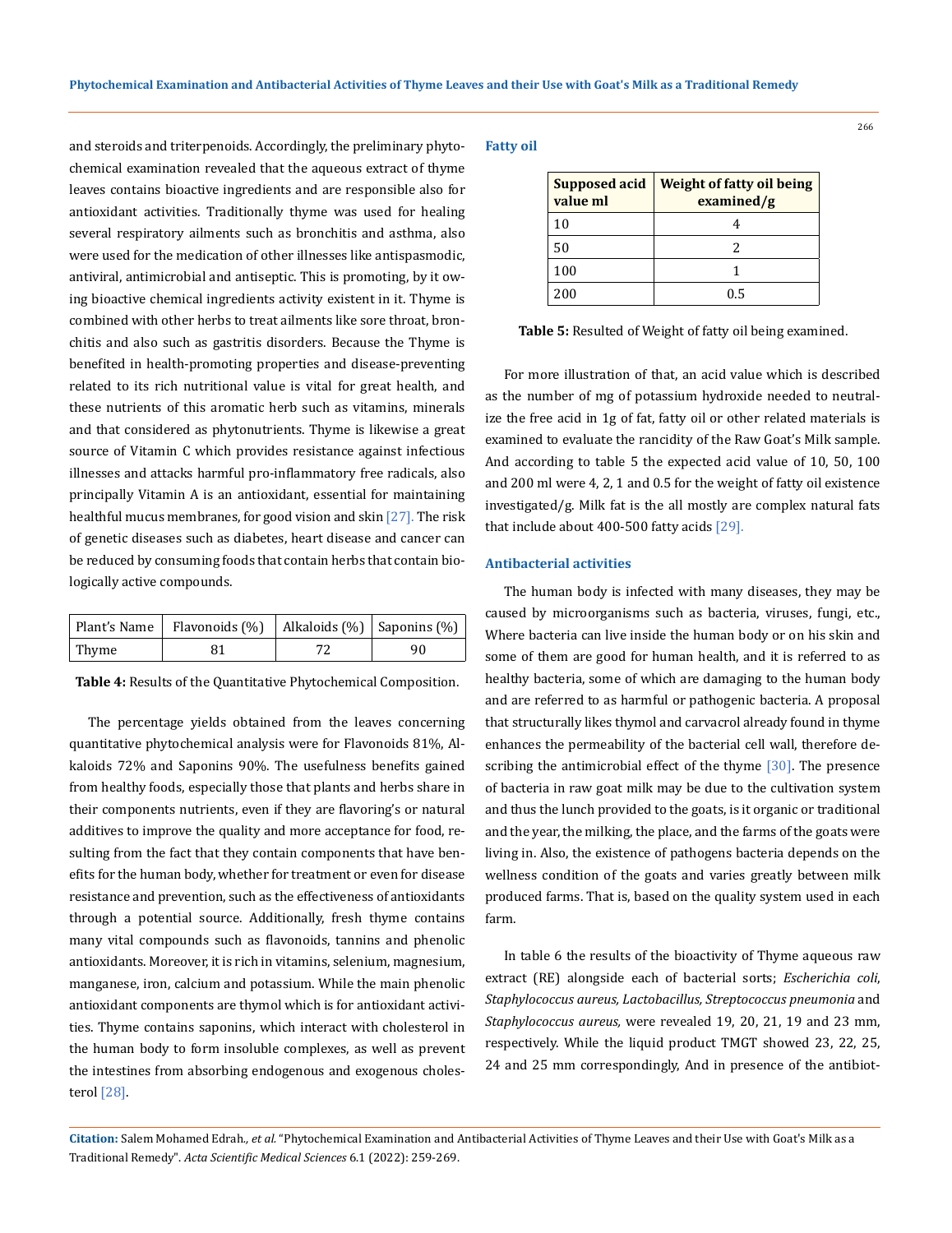and steroids and triterpenoids. Accordingly, the preliminary phytochemical examination revealed that the aqueous extract of thyme leaves contains bioactive ingredients and are responsible also for antioxidant activities. Traditionally thyme was used for healing several respiratory ailments such as bronchitis and asthma, also were used for the medication of other illnesses like antispasmodic, antiviral, antimicrobial and antiseptic. This is promoting, by it owing bioactive chemical ingredients activity existent in it. Thyme is combined with other herbs to treat ailments like sore throat, bronchitis and also such as gastritis disorders. Because the Thyme is benefited in health-promoting properties and disease-preventing related to its rich nutritional value is vital for great health, and these nutrients of this aromatic herb such as vitamins, minerals and that considered as phytonutrients. Thyme is likewise a great source of Vitamin C which provides resistance against infectious illnesses and attacks harmful pro-inflammatory free radicals, also principally Vitamin A is an antioxidant, essential for maintaining healthful mucus membranes, for good vision and skin [27]. The risk of genetic diseases such as diabetes, heart disease and cancer can be reduced by consuming foods that contain herbs that contain biologically active compounds.

|       | Plant's Name   Flavonoids $(\%)$   Alkaloids $(\%)$   Saponins $(\%)$ |    |
|-------|-----------------------------------------------------------------------|----|
| Thyme |                                                                       | 90 |

**Table 4:** Results of the Quantitative Phytochemical Composition.

The percentage yields obtained from the leaves concerning quantitative phytochemical analysis were for Flavonoids 81%, Alkaloids 72% and Saponins 90%. The usefulness benefits gained from healthy foods, especially those that plants and herbs share in their components nutrients, even if they are flavoring's or natural additives to improve the quality and more acceptance for food, resulting from the fact that they contain components that have benefits for the human body, whether for treatment or even for disease resistance and prevention, such as the effectiveness of antioxidants through a potential source. Additionally, fresh thyme contains many vital compounds such as flavonoids, tannins and phenolic antioxidants. Moreover, it is rich in vitamins, selenium, magnesium, manganese, iron, calcium and potassium. While the main phenolic antioxidant components are thymol which is for antioxidant activities. Thyme contains saponins, which interact with cholesterol in the human body to form insoluble complexes, as well as prevent the intestines from absorbing endogenous and exogenous cholesterol [28].

#### **Fatty oil**

| <b>Supposed acid</b><br>value ml | <b>Weight of fatty oil being</b><br>examined/g |  |  |
|----------------------------------|------------------------------------------------|--|--|
| 10                               |                                                |  |  |
| 50                               |                                                |  |  |
| 100                              |                                                |  |  |
| 200                              | በ 5                                            |  |  |

**Table 5:** Resulted of Weight of fatty oil being examined.

For more illustration of that, an acid value which is described as the number of mg of potassium hydroxide needed to neutralize the free acid in 1g of fat, fatty oil or other related materials is examined to evaluate the rancidity of the Raw Goat's Milk sample. And according to table 5 the expected acid value of 10, 50, 100 and 200 ml were 4, 2, 1 and 0.5 for the weight of fatty oil existence investigated/g. Milk fat is the all mostly are complex natural fats that include about 400-500 fatty acids [29].

## **Antibacterial activities**

The human body is infected with many diseases, they may be caused by microorganisms such as bacteria, viruses, fungi, etc., Where bacteria can live inside the human body or on his skin and some of them are good for human health, and it is referred to as healthy bacteria, some of which are damaging to the human body and are referred to as harmful or pathogenic bacteria. A proposal that structurally likes thymol and carvacrol already found in thyme enhances the permeability of the bacterial cell wall, therefore describing the antimicrobial effect of the thyme [30]. The presence of bacteria in raw goat milk may be due to the cultivation system and thus the lunch provided to the goats, is it organic or traditional and the year, the milking, the place, and the farms of the goats were living in. Also, the existence of pathogens bacteria depends on the wellness condition of the goats and varies greatly between milk produced farms. That is, based on the quality system used in each farm.

In table 6 the results of the bioactivity of Thyme aqueous raw extract (RE) alongside each of bacterial sorts; *Escherichia coli*, *Staphylococcus aureus, Lactobacillus, Streptococcus pneumonia* and *Staphylococcus aureus,* were revealed 19, 20, 21, 19 and 23 mm, respectively. While the liquid product TMGT showed 23, 22, 25, 24 and 25 mm correspondingly, And in presence of the antibiot-

**Citation:** Salem Mohamed Edrah*., et al.* "Phytochemical Examination and Antibacterial Activities of Thyme Leaves and their Use with Goat's Milk as a Traditional Remedy". *Acta Scientific Medical Sciences* 6.1 (2022): 259-269.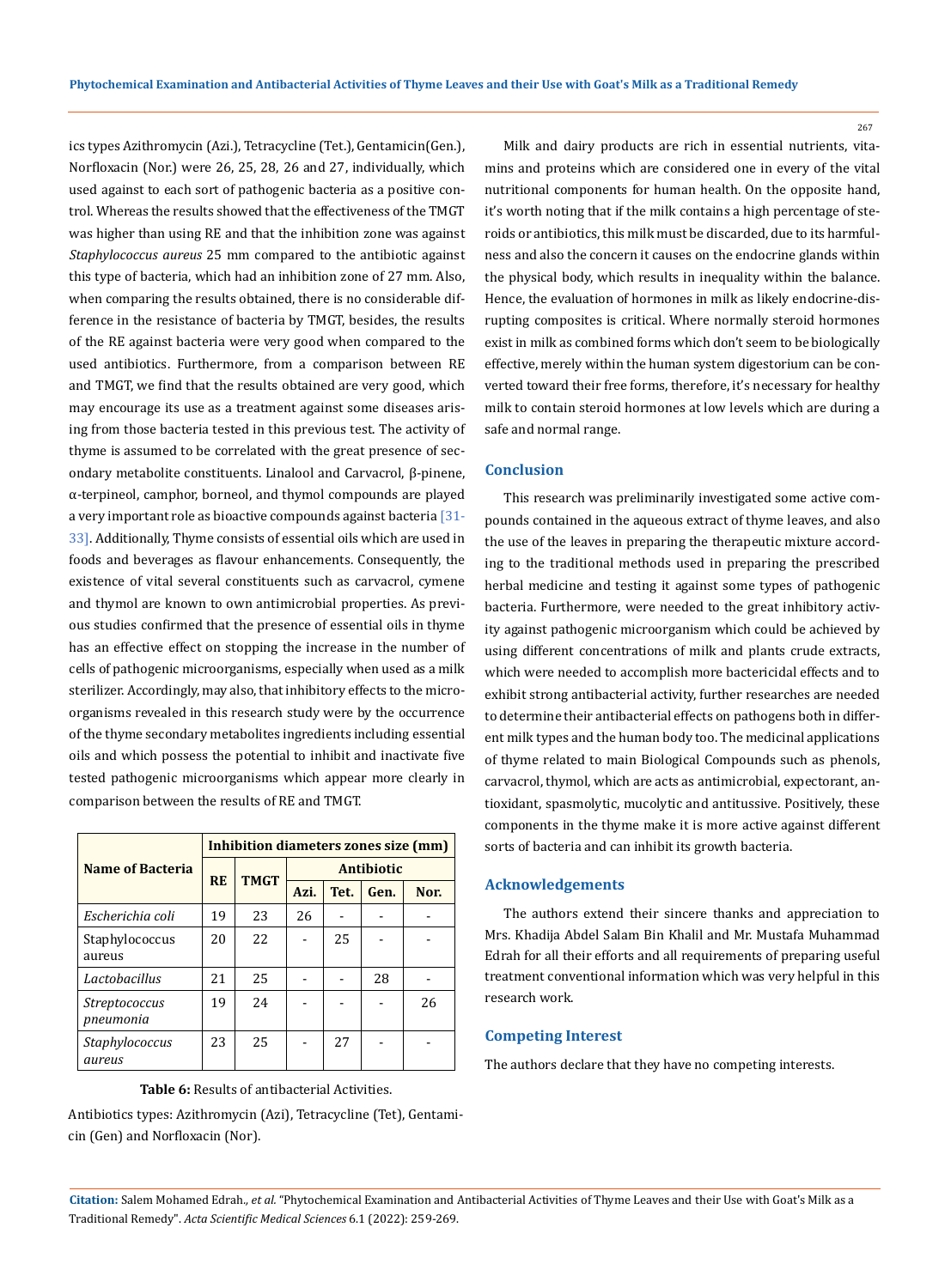ics types Azithromycin (Azi.), Tetracycline (Tet.), Gentamicin(Gen.), Norfloxacin (Nor.) were 26, 25, 28, 26 and 27, individually, which used against to each sort of pathogenic bacteria as a positive control. Whereas the results showed that the effectiveness of the TMGT was higher than using RE and that the inhibition zone was against *Staphylococcus aureus* 25 mm compared to the antibiotic against this type of bacteria, which had an inhibition zone of 27 mm. Also, when comparing the results obtained, there is no considerable difference in the resistance of bacteria by TMGT, besides, the results of the RE against bacteria were very good when compared to the used antibiotics. Furthermore, from a comparison between RE and TMGT, we find that the results obtained are very good, which may encourage its use as a treatment against some diseases arising from those bacteria tested in this previous test. The activity of thyme is assumed to be correlated with the great presence of secondary metabolite constituents. Linalool and Carvacrol, β-pinene, α-terpineol, camphor, borneol, and thymol compounds are played a very important role as bioactive compounds against bacteria  $\sqrt{31}$ -33]. Additionally, Thyme consists of essential oils which are used in foods and beverages as flavour enhancements. Consequently, the existence of vital several constituents such as carvacrol, cymene and thymol are known to own antimicrobial properties. As previous studies confirmed that the presence of essential oils in thyme has an effective effect on stopping the increase in the number of cells of pathogenic microorganisms, especially when used as a milk sterilizer. Accordingly, may also, that inhibitory effects to the microorganisms revealed in this research study were by the occurrence of the thyme secondary metabolites ingredients including essential oils and which possess the potential to inhibit and inactivate five tested pathogenic microorganisms which appear more clearly in comparison between the results of RE and TMGT.

|                                   | Inhibition diameters zones size (mm) |             |                   |      |      |      |
|-----------------------------------|--------------------------------------|-------------|-------------------|------|------|------|
| Name of Bacteria                  | <b>RE</b>                            | <b>TMGT</b> | <b>Antibiotic</b> |      |      |      |
|                                   |                                      |             | Azi.              | Tet. | Gen. | Nor. |
| Escherichia coli                  | 19                                   | 23          | 26                |      |      |      |
| Staphylococcus<br>aureus          | 20                                   | 22          |                   | 25   |      |      |
| Lactobacillus                     | 21                                   | 25          |                   |      | 28   |      |
| <i>Streptococcus</i><br>pneumonia | 19                                   | 24          |                   |      |      | 26   |
| Staphylococcus<br>aureus          | 23                                   | 25          |                   | 2.7  |      |      |

**Table 6:** Results of antibacterial Activities.

Antibiotics types: Azithromycin (Azi), Tetracycline (Tet), Gentamicin (Gen) and Norfloxacin (Nor).

Milk and dairy products are rich in essential nutrients, vitamins and proteins which are considered one in every of the vital nutritional components for human health. On the opposite hand, it's worth noting that if the milk contains a high percentage of steroids or antibiotics, this milk must be discarded, due to its harmfulness and also the concern it causes on the endocrine glands within the physical body, which results in inequality within the balance. Hence, the evaluation of hormones in milk as likely endocrine-disrupting composites is critical. Where normally steroid hormones exist in milk as combined forms which don't seem to be biologically effective, merely within the human system digestorium can be converted toward their free forms, therefore, it's necessary for healthy milk to contain steroid hormones at low levels which are during a safe and normal range.

## **Conclusion**

This research was preliminarily investigated some active compounds contained in the aqueous extract of thyme leaves, and also the use of the leaves in preparing the therapeutic mixture according to the traditional methods used in preparing the prescribed herbal medicine and testing it against some types of pathogenic bacteria. Furthermore, were needed to the great inhibitory activity against pathogenic microorganism which could be achieved by using different concentrations of milk and plants crude extracts, which were needed to accomplish more bactericidal effects and to exhibit strong antibacterial activity, further researches are needed to determine their antibacterial effects on pathogens both in different milk types and the human body too. The medicinal applications of thyme related to main Biological Compounds such as phenols, carvacrol, thymol, which are acts as antimicrobial, expectorant, antioxidant, spasmolytic, mucolytic and antitussive. Positively, these components in the thyme make it is more active against different sorts of bacteria and can inhibit its growth bacteria.

## **Acknowledgements**

The authors extend their sincere thanks and appreciation to Mrs. Khadija Abdel Salam Bin Khalil and Mr. Mustafa Muhammad Edrah for all their efforts and all requirements of preparing useful treatment conventional information which was very helpful in this research work.

## **Competing Interest**

The authors declare that they have no competing interests.

**Citation:** Salem Mohamed Edrah*., et al.* "Phytochemical Examination and Antibacterial Activities of Thyme Leaves and their Use with Goat's Milk as a Traditional Remedy". *Acta Scientific Medical Sciences* 6.1 (2022): 259-269.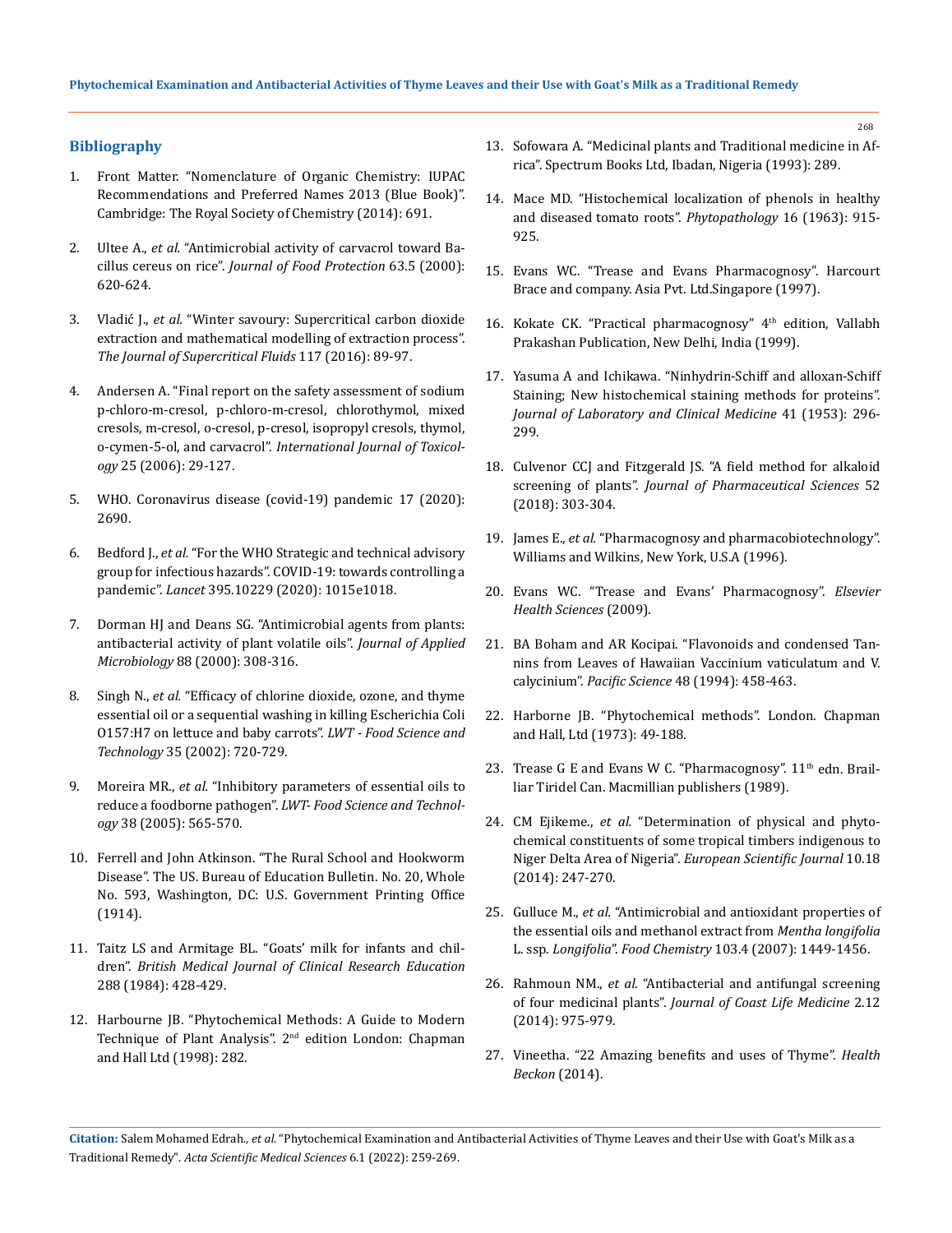## **Bibliography**

- 1. [Front Matter. "Nomenclature of Organic Chemistry: IUPAC](https://pubs.rsc.org/en/content/ebook/978-0-85404-182-4)  [Recommendations and Preferred Names 2013 \(Blue Book\)".](https://pubs.rsc.org/en/content/ebook/978-0-85404-182-4)  [Cambridge: The Royal Society of Chemistry \(2014\): 691.](https://pubs.rsc.org/en/content/ebook/978-0-85404-182-4)
- 2. Ultee A., *et al.* ["Antimicrobial activity of carvacrol toward Ba](https://meridian.allenpress.com/jfp/article/63/5/620/169762/Antimicrobial-Activity-of-Carvacrol-toward)cillus cereus on rice". *[Journal of Food Protection](https://meridian.allenpress.com/jfp/article/63/5/620/169762/Antimicrobial-Activity-of-Carvacrol-toward)* 63.5 (2000): [620-624.](https://meridian.allenpress.com/jfp/article/63/5/620/169762/Antimicrobial-Activity-of-Carvacrol-toward)
- 3. Vladić J., *et al.* ["Winter savoury: Supercritical carbon dioxide](https://www.sciencedirect.com/science/article/abs/pii/S0896844616301632)  [extraction and mathematical modelling of extraction process".](https://www.sciencedirect.com/science/article/abs/pii/S0896844616301632)  *[The Journal of Supercritical Fluids](https://www.sciencedirect.com/science/article/abs/pii/S0896844616301632)* 117 (2016): 89-97.
- 4. [Andersen A. "Final report on the safety assessment of sodium](https://pubmed.ncbi.nlm.nih.gov/16835130/)  [p-chloro-m-cresol, p-chloro-m-cresol, chlorothymol, mixed](https://pubmed.ncbi.nlm.nih.gov/16835130/)  [cresols, m-cresol, o-cresol, p-cresol, isopropyl cresols, thymol,](https://pubmed.ncbi.nlm.nih.gov/16835130/)  o-cymen-5-ol, and carvacrol". *[International Journal of Toxicol](https://pubmed.ncbi.nlm.nih.gov/16835130/)ogy* [25 \(2006\): 29-127.](https://pubmed.ncbi.nlm.nih.gov/16835130/)
- 5. [WHO. Coronavirus disease \(covid-19\) pandemic 17 \(2020\):](https://www.who.int/emergencies/diseases/novel-coronavirus-2019)  [2690.](https://www.who.int/emergencies/diseases/novel-coronavirus-2019)
- 6. Bedford J., *et al.* ["For the WHO Strategic and technical advisory](https://www.thelancet.com/journals/lancet/article/PIIS0140-6736(20)30673-5/fulltext)  [group for infectious hazards". COVID-19: towards controlling a](https://www.thelancet.com/journals/lancet/article/PIIS0140-6736(20)30673-5/fulltext)  pandemic". *Lancet* [395.10229 \(2020\): 1015e1018.](https://www.thelancet.com/journals/lancet/article/PIIS0140-6736(20)30673-5/fulltext)
- 7. [Dorman HJ and Deans SG. "Antimicrobial agents from plants:](https://pubmed.ncbi.nlm.nih.gov/10736000/)  [antibacterial activity of plant volatile oils".](https://pubmed.ncbi.nlm.nih.gov/10736000/) *Journal of Applied Microbiology* [88 \(2000\): 308-316.](https://pubmed.ncbi.nlm.nih.gov/10736000/)
- 8. Singh N., *et al.* ["Efficacy of chlorine dioxide, ozone, and thyme](https://www.sciencedirect.com/science/article/abs/pii/S0023643802909333)  [essential oil or a sequential washing in killing Escherichia Coli](https://www.sciencedirect.com/science/article/abs/pii/S0023643802909333)  [O157:H7 on lettuce and baby carrots".](https://www.sciencedirect.com/science/article/abs/pii/S0023643802909333) *LWT - Food Science and Technology* [35 \(2002\): 720-729.](https://www.sciencedirect.com/science/article/abs/pii/S0023643802909333)
- 9. Moreira MR., *et al.* ["Inhibitory parameters of essential oils to](https://www.sciencedirect.com/science/article/pii/S0023643804001938)  reduce a foodborne pathogen". *[LWT- Food Science and Technol](https://www.sciencedirect.com/science/article/pii/S0023643804001938)ogy* [38 \(2005\): 565-570.](https://www.sciencedirect.com/science/article/pii/S0023643804001938)
- 10. [Ferrell and John Atkinson. "The Rural School and Hookworm](https://files.eric.ed.gov/fulltext/ED541673.pdf)  [Disease". The US. Bureau of Education Bulletin. No. 20, Whole](https://files.eric.ed.gov/fulltext/ED541673.pdf)  [No. 593, Washington, DC: U.S. Government Printing Office](https://files.eric.ed.gov/fulltext/ED541673.pdf)  [\(1914\).](https://files.eric.ed.gov/fulltext/ED541673.pdf)
- 11. [Taitz LS and Armitage BL. "Goats' milk for infants and chil](https://www.ncbi.nlm.nih.gov/pmc/articles/PMC1444683/)dren". *[British Medical Journal of Clinical Research Education](https://www.ncbi.nlm.nih.gov/pmc/articles/PMC1444683/)* [288 \(1984\): 428-429.](https://www.ncbi.nlm.nih.gov/pmc/articles/PMC1444683/)
- 12. [Harbourne JB. "Phytochemical Methods: A Guide to Modern](https://books.google.co.in/books/about/Phytochemical_Methods_A_Guide_to_Modern.html?id=vCWHUU6iobwC)  Technique of Plant Analysis". 2<sup>nd</sup> edition London: Chapman [and Hall Ltd \(1998\): 282.](https://books.google.co.in/books/about/Phytochemical_Methods_A_Guide_to_Modern.html?id=vCWHUU6iobwC)

13. [Sofowara A. "Medicinal plants and Traditional medicine in Af](https://books.google.co.in/books/about/Medicinal_Plants_and_Traditional_Medicin.html?id=ZdaxQwAACAAJ)[rica". Spectrum Books Ltd, Ibadan, Nigeria \(1993\): 289.](https://books.google.co.in/books/about/Medicinal_Plants_and_Traditional_Medicin.html?id=ZdaxQwAACAAJ)

- 14. Mace MD. "Histochemical localization of phenols in healthy and diseased tomato roots". *Phytopathology* 16 (1963): 915- 925.
- 15. [Evans WC. "Trease and Evans Pharmacognosy". Harcourt](https://www.elsevier.com/books/trease-and-evans-pharmacognosy/9780702029332)  [Brace and company. Asia Pvt. Ltd.Singapore \(1997\).](https://www.elsevier.com/books/trease-and-evans-pharmacognosy/9780702029332)
- 16. Kokate CK. "Practical pharmacognosy" 4<sup>th</sup> edition, Vallabh [Prakashan Publication, New Delhi, India \(1999\).](https://www.amazon.in/Practical-Pharmacognosy-S-Gokhale-Kokate/dp/8185790361)
- 17. [Yasuma A and Ichikawa. "Ninhydrin-Schiff and alloxan-Schiff](https://www.translationalres.com/article/0022-2143(53)90038-9/fulltext)  [Staining; New histochemical staining methods for proteins".](https://www.translationalres.com/article/0022-2143(53)90038-9/fulltext)  *[Journal of Laboratory and Clinical Medicine](https://www.translationalres.com/article/0022-2143(53)90038-9/fulltext)* 41 (1953): 296- [299.](https://www.translationalres.com/article/0022-2143(53)90038-9/fulltext)
- 18. [Culvenor CCJ and Fitzgerald JS. "A field method for alkaloid](https://pubmed.ncbi.nlm.nih.gov/14024220/)  screening of plants". *[Journal of Pharmaceutical Sciences](https://pubmed.ncbi.nlm.nih.gov/14024220/)* 52 [\(2018\): 303-304.](https://pubmed.ncbi.nlm.nih.gov/14024220/)
- 19. James E., *et al.* ["Pharmacognosy and pharmacobiotechnology".](https://www.worldcat.org/title/pharmacognosy-and-pharmacobiotechnology/oclc/605370819)  [Williams and Wilkins, New York, U.S.A \(1996\).](https://www.worldcat.org/title/pharmacognosy-and-pharmacobiotechnology/oclc/605370819)
- 20. [Evans WC. "Trease and Evans' Pharmacognosy".](https://www.elsevier.com/books/trease-and-evans-pharmacognosy/9780702029332) *Elsevier [Health Sciences](https://www.elsevier.com/books/trease-and-evans-pharmacognosy/9780702029332)* (2009).
- 21. [BA Boham and AR Kocipai. "Flavonoids and condensed Tan](https://www.researchgate.net/publication/29737559_Flavonoids_and_Condensed_Tannins_from_Leaves_of_Hawaiian_Vaccinium_reticulatum_and_V_calycinum_Ericaceae)[nins from Leaves of Hawaiian Vaccinium vaticulatum and V.](https://www.researchgate.net/publication/29737559_Flavonoids_and_Condensed_Tannins_from_Leaves_of_Hawaiian_Vaccinium_reticulatum_and_V_calycinum_Ericaceae)  calycinium". *Pacific Science* [48 \(1994\): 458-463.](https://www.researchgate.net/publication/29737559_Flavonoids_and_Condensed_Tannins_from_Leaves_of_Hawaiian_Vaccinium_reticulatum_and_V_calycinum_Ericaceae)
- 22. [Harborne JB. "Phytochemical methods". London. Chapman](https://link.springer.com/book/10.1007/978-94-009-5570-7)  [and Hall, Ltd \(1973\): 49-188.](https://link.springer.com/book/10.1007/978-94-009-5570-7)
- 23. Trease G E and Evans W C. "Pharmacognosy".  $11<sup>th</sup>$  edn. Brail[liar Tiridel Can. Macmillian publishers \(1989\).](https://www.scirp.org/(S(351jmbntvnsjt1aadkposzje))/reference/ReferencesPapers.aspx?ReferenceID=1964412)
- 24. CM Ejikeme., *et al.* ["Determination of physical and phyto](https://eujournal.org/index.php/esj/article/view/3595)[chemical constituents of some tropical timbers indigenous to](https://eujournal.org/index.php/esj/article/view/3595)  Niger Delta Area of Nigeria". *[European Scientific Journal](https://eujournal.org/index.php/esj/article/view/3595)* 10.18 [\(2014\): 247-270.](https://eujournal.org/index.php/esj/article/view/3595)
- 25. Gulluce M., *et al.* ["Antimicrobial and antioxidant properties of](https://www.sciencedirect.com/science/article/abs/pii/S0308814606008466)  [the essential oils and methanol extract from](https://www.sciencedirect.com/science/article/abs/pii/S0308814606008466) *Mentha longifolia* L. ssp. *Longifolia*". *Food Chemistry* [103.4 \(2007\): 1449-1456.](https://www.sciencedirect.com/science/article/abs/pii/S0308814606008466)
- 26. Rahmoun NM., *et al.* ["Antibacterial and antifungal screening](https://www.researchgate.net/publication/273818544_Antibacterial_and_antifungal_screening_of_four_medicinal_plants)  [of four medicinal plants".](https://www.researchgate.net/publication/273818544_Antibacterial_and_antifungal_screening_of_four_medicinal_plants) *Journal of Coast Life Medicine* 2.12 [\(2014\): 975-979.](https://www.researchgate.net/publication/273818544_Antibacterial_and_antifungal_screening_of_four_medicinal_plants)
- 27. [Vineetha. "22 Amazing benefits and uses of Thyme".](https://www.healthbeckon.com/thyme-benefits/) *Health [Beckon](https://www.healthbeckon.com/thyme-benefits/)* (2014).

**Citation:** Salem Mohamed Edrah*., et al.* "Phytochemical Examination and Antibacterial Activities of Thyme Leaves and their Use with Goat's Milk as a Traditional Remedy". *Acta Scientific Medical Sciences* 6.1 (2022): 259-269.